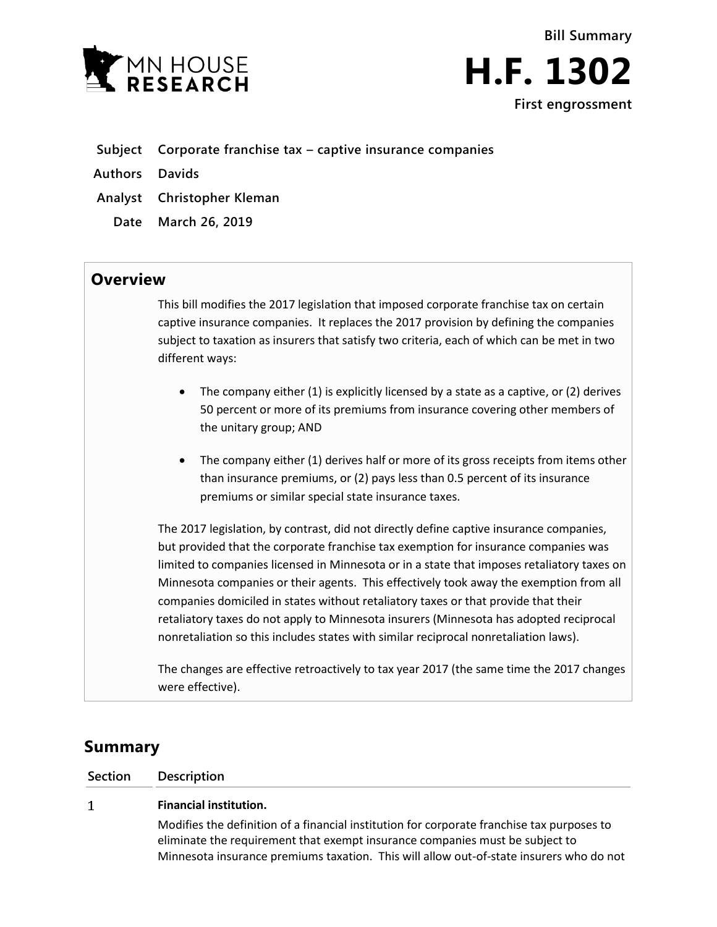



**Subject Corporate franchise tax – captive insurance companies**

**Authors Davids**

- **Analyst Christopher Kleman**
- **Date March 26, 2019**

## **Overview**

This bill modifies the 2017 legislation that imposed corporate franchise tax on certain captive insurance companies. It replaces the 2017 provision by defining the companies subject to taxation as insurers that satisfy two criteria, each of which can be met in two different ways:

- The company either (1) is explicitly licensed by a state as a captive, or (2) derives 50 percent or more of its premiums from insurance covering other members of the unitary group; AND
- The company either (1) derives half or more of its gross receipts from items other than insurance premiums, or (2) pays less than 0.5 percent of its insurance premiums or similar special state insurance taxes.

The 2017 legislation, by contrast, did not directly define captive insurance companies, but provided that the corporate franchise tax exemption for insurance companies was limited to companies licensed in Minnesota or in a state that imposes retaliatory taxes on Minnesota companies or their agents. This effectively took away the exemption from all companies domiciled in states without retaliatory taxes or that provide that their retaliatory taxes do not apply to Minnesota insurers (Minnesota has adopted reciprocal nonretaliation so this includes states with similar reciprocal nonretaliation laws).

The changes are effective retroactively to tax year 2017 (the same time the 2017 changes were effective).

# **Summary**

**Section Description**

### **Financial institution.**  $\mathbf{1}$

Modifies the definition of a financial institution for corporate franchise tax purposes to eliminate the requirement that exempt insurance companies must be subject to Minnesota insurance premiums taxation. This will allow out-of-state insurers who do not